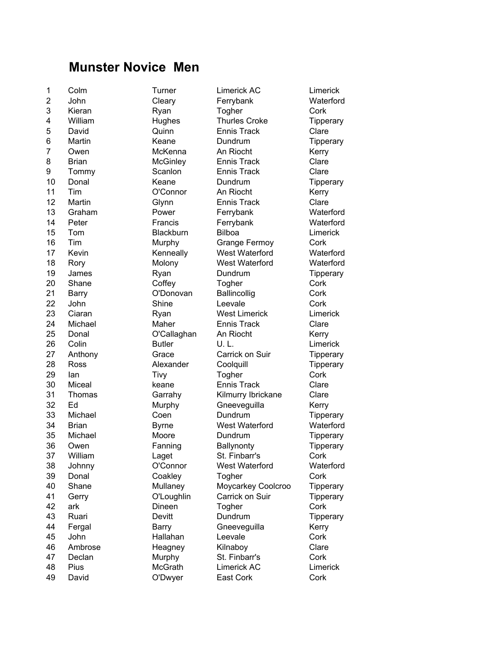## Munster Novice Men

2 John Cleary Ferrybank Waterford 3 Kieran Ryan Togher Cork 4 William Hughes Thurles Croke Tipperary 5 David Quinn Ennis Track Clare 6 Martin Keane Dundrum Tipperary 7 Owen McKenna An Riocht Kerry 8 Brian McGinley Ennis Track Clare 9 Tommy Scanlon Ennis Track Clare 10 Donal **Keane** Dundrum Tipperary 11 Tim O'Connor An Riocht Kerry 12 Martin Glynn Ennis Track Clare 13 Graham **Power** Ferrybank Waterford 14 Peter **Francis** Francis Ferrybank Waterford 15 Tom Blackburn Bilboa Limerick 16 Tim Murphy Grange Fermoy Cork 17 Kevin **Kenneally** West Waterford Waterford 18 Rory Molony West Waterford Waterford 19 James Ryan Dundrum Tipperary 20 Shane Coffey Togher Cork 21 Barry **O'Donovan** Ballincollig Cork 22 John Shine Leevale Cork 23 Ciaran **Ryan** Ryan West Limerick Limerick 24 Michael Maher Ennis Track Clare 25 Donal O'Callaghan An Riocht Kerry 26 Colin **Butler** U. L. Limerick 27 Anthony **Grace** Carrick on Suir **Tipperary** 28 Ross **Alexander** Coolquill **Tipperary** 29 Ian Tivy Togher Cork 30 Miceal keane Ennis Track Clare 31 Thomas Garrahy Kilmurry Ibrickane Clare 32 Ed Murphy Gneeveguilla Kerry 33 Michael Coen Dundrum Tipperary 34 Brian Byrne West Waterford Waterford 35 Michael Moore Dundrum Tipperary 36 Owen **Fanning** Ballynonty **Tipperary** 37 William Laget St. Finbarr's Cork 38 Johnny O'Connor West Waterford Waterford 39 Donal Coakley Togher Cork 40 Shane Mullaney Moycarkey Coolcroo Tipperary 41 Gerry O'Loughlin Carrick on Suir Tipperary 42 ark Dineen Togher Cork 43 Ruari **Devitt** Dundrum **Tipperary** 44 Fergal Barry Gneeveguilla Kerry 45 John Hallahan Leevale Cork 46 Ambrose **Heagney** Kilnaboy Clare 47 Declan Murphy St. Finbarr's Cork 48 Pius McGrath Limerick AC Limerick

1 Colm Turner Limerick AC Limerick 49 David **O'Dwyer** East Cork Cork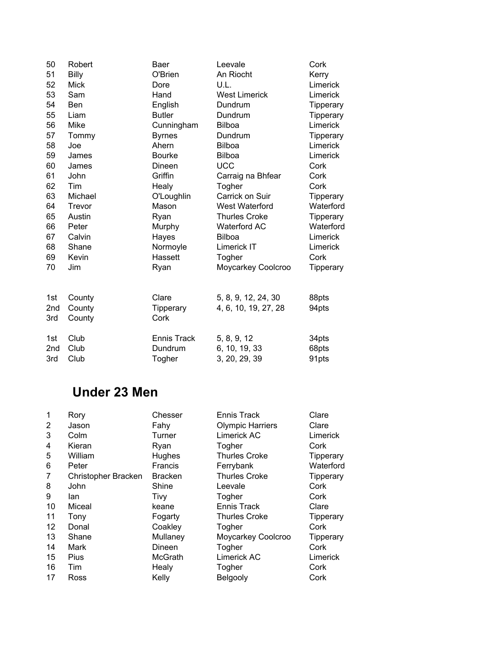|              |                    |                      | Cork                                                                                    |
|--------------|--------------------|----------------------|-----------------------------------------------------------------------------------------|
| <b>Billy</b> | O'Brien            | An Riocht            | Kerry                                                                                   |
| <b>Mick</b>  | Dore               | U.L.                 | Limerick                                                                                |
| Sam          | Hand               | <b>West Limerick</b> | Limerick                                                                                |
| <b>Ben</b>   | English            | Dundrum              | Tipperary                                                                               |
| Liam         | <b>Butler</b>      | Dundrum              | Tipperary                                                                               |
| Mike         | Cunningham         | Bilboa               | Limerick                                                                                |
| Tommy        | <b>Byrnes</b>      | Dundrum              | <b>Tipperary</b>                                                                        |
| Joe          | Ahern              | <b>Bilboa</b>        | Limerick                                                                                |
| James        | <b>Bourke</b>      | <b>Bilboa</b>        | Limerick                                                                                |
| James        | Dineen             | <b>UCC</b>           | Cork                                                                                    |
| John         | Griffin            | Carraig na Bhfear    | Cork                                                                                    |
| Tim          | Healy              | Togher               | Cork                                                                                    |
| Michael      | O'Loughlin         | Carrick on Suir      | Tipperary                                                                               |
| Trevor       | Mason              | West Waterford       | Waterford                                                                               |
| Austin       | Ryan               | <b>Thurles Croke</b> | <b>Tipperary</b>                                                                        |
| Peter        | Murphy             | <b>Waterford AC</b>  | Waterford                                                                               |
| Calvin       | Hayes              | <b>Bilboa</b>        | Limerick                                                                                |
| Shane        | Normoyle           | Limerick IT          | Limerick                                                                                |
| Kevin        | Hassett            | Togher               | Cork                                                                                    |
| Jim          | Ryan               | Moycarkey Coolcroo   | <b>Tipperary</b>                                                                        |
|              |                    |                      |                                                                                         |
|              |                    |                      |                                                                                         |
| County       |                    |                      | 88pts                                                                                   |
|              | Tipperary          |                      | 94pts                                                                                   |
|              | Cork               |                      |                                                                                         |
| Club         | <b>Ennis Track</b> |                      | 34pts                                                                                   |
| Club         | Dundrum            | 6, 10, 19, 33        | 68pts                                                                                   |
| Club         | Togher             | 3, 20, 29, 39        | 91pts                                                                                   |
|              | County<br>County   | Clare                | Robert<br>Leevale<br>Baer<br>5, 8, 9, 12, 24, 30<br>4, 6, 10, 19, 27, 28<br>5, 8, 9, 12 |

## Under 23 Men

| 1  | Rory                | Chesser        | Ennis Track             | Clare            |
|----|---------------------|----------------|-------------------------|------------------|
| 2  | Jason               | Fahy           | <b>Olympic Harriers</b> | Clare            |
| 3  | Colm                | Turner         | Limerick AC             | Limerick         |
| 4  | Kieran              | Ryan           | Togher                  | Cork             |
| 5  | William             | Hughes         | Thurles Croke           | Tipperary        |
| 6  | Peter               | Francis        | Ferrybank               | Waterford        |
| 7  | Christopher Bracken | <b>Bracken</b> | <b>Thurles Croke</b>    | <b>Tipperary</b> |
| 8  | John                | Shine          | Leevale                 | Cork             |
| 9  | lan                 | Tivy           | Togher                  | Cork             |
| 10 | Miceal              | keane          | Ennis Track             | Clare            |
| 11 | Tony                | Fogarty        | <b>Thurles Croke</b>    | <b>Tipperary</b> |
| 12 | Donal               | Coakley        | Togher                  | Cork             |
| 13 | Shane               | Mullaney       | Moycarkey Coolcroo      | Tipperary        |
| 14 | Mark                | Dineen         | Togher                  | Cork             |
| 15 | Pius                | <b>McGrath</b> | Limerick AC             | Limerick         |
| 16 | Tim                 | Healy          | Togher                  | Cork             |
| 17 | Ross                | Kelly          | Belgooly                | Cork             |